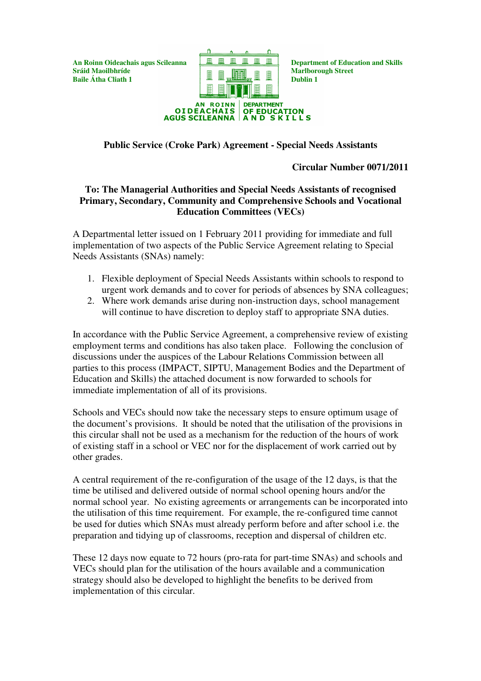**Baile**  $\hat{\bf{A}}$ **tha Cliath 1 Dublin 1 Dublin 1 Dublin 1 Dublin Dublin Dublin Dublin Dublin Dublin Dublin Dublin Dublin Dublin Dublin Dublin Dublin Dublin Dublin Dublin D** 



# **Public Service (Croke Park) Agreement - Special Needs Assistants**

# **Circular Number 0071/2011**

# **To: The Managerial Authorities and Special Needs Assistants of recognised Primary, Secondary, Community and Comprehensive Schools and Vocational Education Committees (VECs)**

A Departmental letter issued on 1 February 2011 providing for immediate and full implementation of two aspects of the Public Service Agreement relating to Special Needs Assistants (SNAs) namely:

- 1. Flexible deployment of Special Needs Assistants within schools to respond to urgent work demands and to cover for periods of absences by SNA colleagues;
- 2. Where work demands arise during non-instruction days, school management will continue to have discretion to deploy staff to appropriate SNA duties.

In accordance with the Public Service Agreement, a comprehensive review of existing employment terms and conditions has also taken place. Following the conclusion of discussions under the auspices of the Labour Relations Commission between all parties to this process (IMPACT, SIPTU, Management Bodies and the Department of Education and Skills) the attached document is now forwarded to schools for immediate implementation of all of its provisions.

Schools and VECs should now take the necessary steps to ensure optimum usage of the document's provisions. It should be noted that the utilisation of the provisions in this circular shall not be used as a mechanism for the reduction of the hours of work of existing staff in a school or VEC nor for the displacement of work carried out by other grades.

A central requirement of the re-configuration of the usage of the 12 days, is that the time be utilised and delivered outside of normal school opening hours and/or the normal school year. No existing agreements or arrangements can be incorporated into the utilisation of this time requirement. For example, the re-configured time cannot be used for duties which SNAs must already perform before and after school i.e. the preparation and tidying up of classrooms, reception and dispersal of children etc.

These 12 days now equate to 72 hours (pro-rata for part-time SNAs) and schools and VECs should plan for the utilisation of the hours available and a communication strategy should also be developed to highlight the benefits to be derived from implementation of this circular.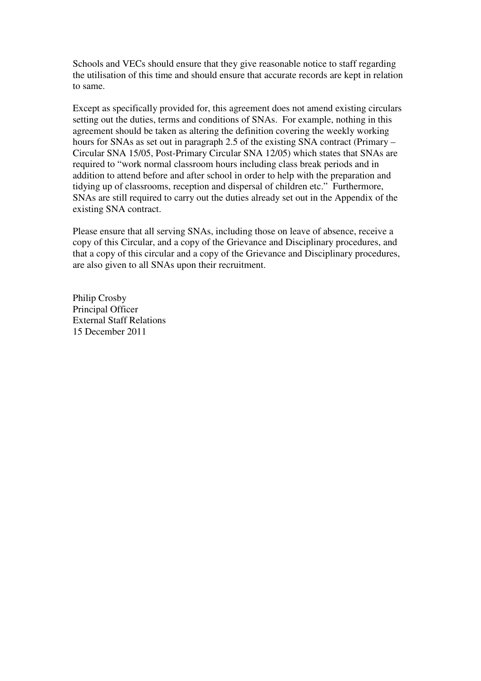Schools and VECs should ensure that they give reasonable notice to staff regarding the utilisation of this time and should ensure that accurate records are kept in relation to same.

Except as specifically provided for, this agreement does not amend existing circulars setting out the duties, terms and conditions of SNAs. For example, nothing in this agreement should be taken as altering the definition covering the weekly working hours for SNAs as set out in paragraph 2.5 of the existing SNA contract (Primary – Circular SNA 15/05, Post-Primary Circular SNA 12/05) which states that SNAs are required to "work normal classroom hours including class break periods and in addition to attend before and after school in order to help with the preparation and tidying up of classrooms, reception and dispersal of children etc." Furthermore, SNAs are still required to carry out the duties already set out in the Appendix of the existing SNA contract.

Please ensure that all serving SNAs, including those on leave of absence, receive a copy of this Circular, and a copy of the Grievance and Disciplinary procedures, and that a copy of this circular and a copy of the Grievance and Disciplinary procedures, are also given to all SNAs upon their recruitment.

Philip Crosby Principal Officer External Staff Relations 15 December 2011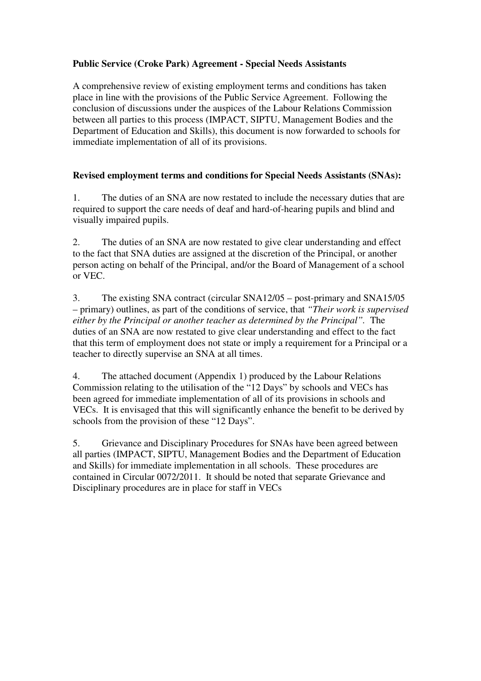# **Public Service (Croke Park) Agreement - Special Needs Assistants**

A comprehensive review of existing employment terms and conditions has taken place in line with the provisions of the Public Service Agreement. Following the conclusion of discussions under the auspices of the Labour Relations Commission between all parties to this process (IMPACT, SIPTU, Management Bodies and the Department of Education and Skills), this document is now forwarded to schools for immediate implementation of all of its provisions.

# **Revised employment terms and conditions for Special Needs Assistants (SNAs):**

1. The duties of an SNA are now restated to include the necessary duties that are required to support the care needs of deaf and hard-of-hearing pupils and blind and visually impaired pupils.

2. The duties of an SNA are now restated to give clear understanding and effect to the fact that SNA duties are assigned at the discretion of the Principal, or another person acting on behalf of the Principal, and/or the Board of Management of a school or VEC.

3. The existing SNA contract (circular SNA12/05 – post-primary and SNA15/05 – primary) outlines, as part of the conditions of service, that *"Their work is supervised either by the Principal or another teacher as determined by the Principal".* The duties of an SNA are now restated to give clear understanding and effect to the fact that this term of employment does not state or imply a requirement for a Principal or a teacher to directly supervise an SNA at all times.

4. The attached document (Appendix 1) produced by the Labour Relations Commission relating to the utilisation of the "12 Days" by schools and VECs has been agreed for immediate implementation of all of its provisions in schools and VECs. It is envisaged that this will significantly enhance the benefit to be derived by schools from the provision of these "12 Days".

5. Grievance and Disciplinary Procedures for SNAs have been agreed between all parties (IMPACT, SIPTU, Management Bodies and the Department of Education and Skills) for immediate implementation in all schools. These procedures are contained in Circular 0072/2011. It should be noted that separate Grievance and Disciplinary procedures are in place for staff in VECs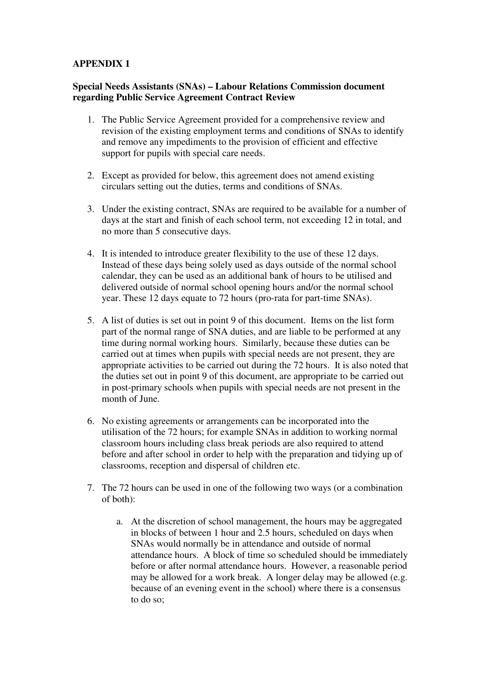#### **APPENDIX 1**

#### **Special Needs Assistants (SNAs) – Labour Relations Commission document regarding Public Service Agreement Contract Review**

- 1. The Public Service Agreement provided for a comprehensive review and revision of the existing employment terms and conditions of SNAs to identify and remove any impediments to the provision of efficient and effective support for pupils with special care needs.
- 2. Except as provided for below, this agreement does not amend existing circulars setting out the duties, terms and conditions of SNAs.
- 3. Under the existing contract, SNAs are required to be available for a number of days at the start and finish of each school term, not exceeding 12 in total, and no more than 5 consecutive days.
- 4. It is intended to introduce greater flexibility to the use of these 12 days. Instead of these days being solely used as days outside of the normal school calendar, they can be used as an additional bank of hours to be utilised and delivered outside of normal school opening hours and/or the normal school year. These 12 days equate to 72 hours (pro-rata for part-time SNAs).
- 5. A list of duties is set out in point 9 of this document. Items on the list form part of the normal range of SNA duties, and are liable to be performed at any time during normal working hours. Similarly, because these duties can be carried out at times when pupils with special needs are not present, they are appropriate activities to be carried out during the 72 hours. It is also noted that the duties set out in point 9 of this document, are appropriate to be carried out in post-primary schools when pupils with special needs are not present in the month of June.
- 6. No existing agreements or arrangements can be incorporated into the utilisation of the 72 hours; for example SNAs in addition to working normal classroom hours including class break periods are also required to attend before and after school in order to help with the preparation and tidying up of classrooms, reception and dispersal of children etc.
- 7. The 72 hours can be used in one of the following two ways (or a combination of both):
	- a. At the discretion of school management, the hours may be aggregated in blocks of between 1 hour and 2.5 hours, scheduled on days when SNAs would normally be in attendance and outside of normal attendance hours. A block of time so scheduled should be immediately before or after normal attendance hours. However, a reasonable period may be allowed for a work break. A longer delay may be allowed (e.g. because of an evening event in the school) where there is a consensus to do so;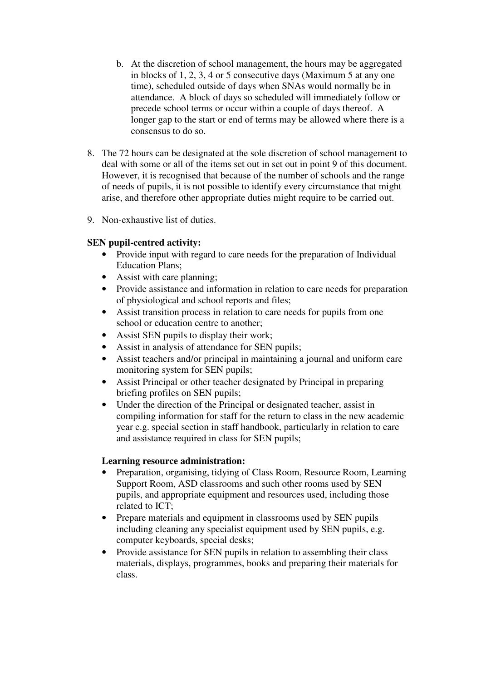- b. At the discretion of school management, the hours may be aggregated in blocks of 1, 2, 3, 4 or 5 consecutive days (Maximum 5 at any one time), scheduled outside of days when SNAs would normally be in attendance. A block of days so scheduled will immediately follow or precede school terms or occur within a couple of days thereof. A longer gap to the start or end of terms may be allowed where there is a consensus to do so.
- 8. The 72 hours can be designated at the sole discretion of school management to deal with some or all of the items set out in set out in point 9 of this document. However, it is recognised that because of the number of schools and the range of needs of pupils, it is not possible to identify every circumstance that might arise, and therefore other appropriate duties might require to be carried out.
- 9. Non-exhaustive list of duties.

# **SEN pupil-centred activity:**

- Provide input with regard to care needs for the preparation of Individual Education Plans;
- Assist with care planning;
- Provide assistance and information in relation to care needs for preparation of physiological and school reports and files;
- Assist transition process in relation to care needs for pupils from one school or education centre to another;
- Assist SEN pupils to display their work;
- Assist in analysis of attendance for SEN pupils;
- Assist teachers and/or principal in maintaining a journal and uniform care monitoring system for SEN pupils;
- Assist Principal or other teacher designated by Principal in preparing briefing profiles on SEN pupils;
- Under the direction of the Principal or designated teacher, assist in compiling information for staff for the return to class in the new academic year e.g. special section in staff handbook, particularly in relation to care and assistance required in class for SEN pupils;

#### **Learning resource administration:**

- Preparation, organising, tidying of Class Room, Resource Room, Learning Support Room, ASD classrooms and such other rooms used by SEN pupils, and appropriate equipment and resources used, including those related to ICT;
- Prepare materials and equipment in classrooms used by SEN pupils including cleaning any specialist equipment used by SEN pupils, e.g. computer keyboards, special desks;
- Provide assistance for SEN pupils in relation to assembling their class materials, displays, programmes, books and preparing their materials for class.